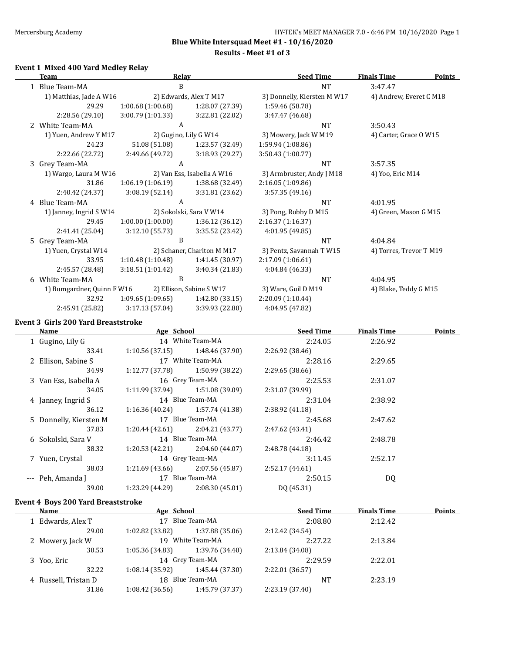$\overline{\phantom{a}}$ 

**Blue White Intersquad Meet #1 - 10/16/2020**

**Results - Meet #1 of 3**

#### **Event 1 Mixed 400 Yard Medley Relay**

|   | <b>Team</b>                | <b>Relay</b>      |                            | <b>Seed Time</b>            | <b>Finals Time</b>      | <b>Points</b> |
|---|----------------------------|-------------------|----------------------------|-----------------------------|-------------------------|---------------|
|   | 1 Blue Team-MA             | B                 |                            | <b>NT</b>                   | 3:47.47                 |               |
|   | 1) Matthias, Jade A W16    |                   | 2) Edwards, Alex T M17     | 3) Donnelly, Kiersten M W17 | 4) Andrew, Everet C M18 |               |
|   | 29.29                      | 1:00.68(1:00.68)  | 1:28.07 (27.39)            | 1:59.46 (58.78)             |                         |               |
|   | 2:28.56 (29.10)            | 3:00.79 (1:01.33) | 3:22.81 (22.02)            | 3:47.47 (46.68)             |                         |               |
| 2 | White Team-MA              | A                 |                            | <b>NT</b>                   | 3:50.43                 |               |
|   | 1) Yuen, Andrew Y M17      |                   | 2) Gugino, Lily G W14      | 3) Mowery, Jack W M19       | 4) Carter, Grace O W15  |               |
|   | 24.23                      | 51.08 (51.08)     | 1:23.57 (32.49)            | 1:59.94 (1:08.86)           |                         |               |
|   | 2:22.66 (22.72)            | 2:49.66 (49.72)   | 3:18.93(29.27)             | 3:50.43 (1:00.77)           |                         |               |
|   | 3 Grey Team-MA             | A                 |                            | <b>NT</b>                   | 3:57.35                 |               |
|   | 1) Wargo, Laura M W16      |                   | 2) Van Ess, Isabella A W16 | 3) Armbruster, Andy J M18   | 4) Yoo, Eric M14        |               |
|   | 31.86                      | 1:06.19(1:06.19)  | 1:38.68 (32.49)            | 2:16.05 (1:09.86)           |                         |               |
|   | 2:40.42 (24.37)            | 3:08.19(52.14)    | 3:31.81 (23.62)            | 3:57.35 (49.16)             |                         |               |
|   | 4 Blue Team-MA             | A                 |                            | <b>NT</b>                   | 4:01.95                 |               |
|   | 1) Janney, Ingrid S W14    |                   | 2) Sokolski, Sara V W14    | 3) Pong, Robby D M15        | 4) Green, Mason G M15   |               |
|   | 29.45                      | 1:00.00(1:00.00)  | 1:36.12 (36.12)            | 2:16.37 (1:16.37)           |                         |               |
|   | 2:41.41 (25.04)            | 3:12.10(55.73)    | 3:35.52 (23.42)            | 4:01.95 (49.85)             |                         |               |
|   | 5 Grey Team-MA             | B                 |                            | <b>NT</b>                   | 4:04.84                 |               |
|   | 1) Yuen, Crystal W14       |                   | 2) Schaner, Charlton M M17 | 3) Pentz, Savannah T W15    | 4) Torres, Trevor T M19 |               |
|   | 33.95                      | 1:10.48(1:10.48)  | 1:41.45 (30.97)            | 2:17.09 (1:06.61)           |                         |               |
|   | 2:45.57 (28.48)            | 3:18.51 (1:01.42) | 3:40.34 (21.83)            | 4:04.84 (46.33)             |                         |               |
|   | 6 White Team-MA            | B                 |                            | <b>NT</b>                   | 4:04.95                 |               |
|   | 1) Bumgardner, Quinn F W16 |                   | 2) Ellison, Sabine SW17    | 3) Ware, Guil D M19         | 4) Blake, Teddy G M15   |               |
|   | 32.92                      | 1:09.65(1:09.65)  | 1:42.80(33.15)             | 2:20.09 (1:10.44)           |                         |               |
|   | 2:45.91 (25.82)            | 3:17.13 (57.04)   | 3:39.93 (22.80)            | 4:04.95 (47.82)             |                         |               |

#### **Event 3 Girls 200 Yard Breaststroke**

| Name                   | Age School      |                                   | <b>Seed Time</b> | <b>Finals Time</b> | <b>Points</b> |
|------------------------|-----------------|-----------------------------------|------------------|--------------------|---------------|
| 1 Gugino, Lily G       |                 | 14 White Team-MA                  | 2:24.05          | 2:26.92            |               |
| 33.41                  |                 | $1:10.56(37.15)$ 1:48.46(37.90)   | 2:26.92 (38.46)  |                    |               |
| 2 Ellison, Sabine S    |                 | 17 White Team-MA                  | 2:28.16          | 2:29.65            |               |
| 34.99                  | 1:12.77 (37.78) | 1:50.99 (38.22)                   | 2:29.65(38.66)   |                    |               |
| 3 Van Ess, Isabella A  |                 | 16 Grey Team-MA                   | 2:25.53          | 2:31.07            |               |
| 34.05                  |                 | $1:11.99(37.94)$ $1:51.08(39.09)$ | 2:31.07 (39.99)  |                    |               |
| 4 Janney, Ingrid S     |                 | 14 Blue Team-MA                   | 2:31.04          | 2:38.92            |               |
| 36.12                  |                 | $1:16.36(40.24)$ $1:57.74(41.38)$ | 2:38.92(41.18)   |                    |               |
| 5 Donnelly, Kiersten M |                 | 17 Blue Team-MA                   | 2:45.68          | 2:47.62            |               |
| 37.83                  |                 | $1:20.44(42.61)$ $2:04.21(43.77)$ | 2:47.62 (43.41)  |                    |               |
| 6 Sokolski, Sara V     |                 | 14 Blue Team-MA                   | 2:46.42          | 2:48.78            |               |
| 38.32                  |                 | $1:20.53(42.21)$ $2:04.60(44.07)$ | 2:48.78 (44.18)  |                    |               |
| 7 Yuen, Crystal        |                 | 14 Grey Team-MA                   | 3:11.45          | 2:52.17            |               |
| 38.03                  | 1:21.69 (43.66) | 2:07.56 (45.87)                   | 2:52.17(44.61)   |                    |               |
| --- Peh, Amanda J      |                 | 17 Blue Team-MA                   | 2:50.15          | DQ                 |               |
| 39.00                  | 1:23.29 (44.29) | 2:08.30(45.01)                    | DQ (45.31)       |                    |               |
|                        |                 |                                   |                  |                    |               |

### **Event 4 Boys 200 Yard Breaststroke**

 $\overline{a}$ 

| Name                 |                    | Age School      |                 | <b>Finals Time</b><br>2:12.42 | Points |
|----------------------|--------------------|-----------------|-----------------|-------------------------------|--------|
| 1 Edwards, Alex T    | Blue Team-MA<br>17 |                 | 2:08.80         |                               |        |
| 29.00                | $1:02.82$ (33.82)  | 1:37.88 (35.06) | 2:12.42 (34.54) |                               |        |
| 2 Mowery, Jack W     | 19                 | White Team-MA   | 2:27.22         | 2:13.84                       |        |
| 30.53                | 1:05.36(34.83)     | 1:39.76 (34.40) | 2:13.84 (34.08) |                               |        |
| 3 Yoo, Eric          |                    | 14 Grey Team-MA | 2:29.59         | 2:22.01                       |        |
| 32.22                | 1:08.14(35.92)     | 1:45.44 (37.30) | 2:22.01 (36.57) |                               |        |
| 4 Russell, Tristan D |                    | 18 Blue Team-MA | <b>NT</b>       | 2:23.19                       |        |
| 31.86                | 1:08.42(36.56)     | 1:45.79 (37.37) | 2:23.19 (37.40) |                               |        |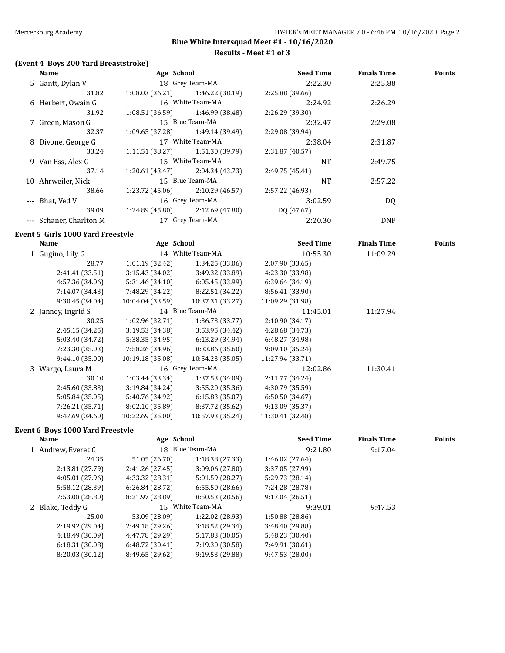#### **Results - Meet #1 of 3**

# **(Event 4 Boys 200 Yard Breaststroke)**

| <b>Name</b>             | Age School      |                  | <b>Seed Time</b> | <b>Finals Time</b> | <b>Points</b> |
|-------------------------|-----------------|------------------|------------------|--------------------|---------------|
| 5 Gantt, Dylan V        |                 | 18 Grey Team-MA  | 2:22.30          | 2:25.88            |               |
| 31.82                   | 1:08.03(36.21)  | 1:46.22 (38.19)  | 2:25.88 (39.66)  |                    |               |
| 6 Herbert, Owain G      |                 | 16 White Team-MA | 2:24.92          | 2:26.29            |               |
| 31.92                   | 1:08.51(36.59)  | 1:46.99 (38.48)  | 2:26.29 (39.30)  |                    |               |
| 7 Green, Mason G        |                 | 15 Blue Team-MA  | 2:32.47          | 2:29.08            |               |
| 32.37                   | 1:09.65 (37.28) | 1:49.14 (39.49)  | 2:29.08 (39.94)  |                    |               |
| 8 Divone, George G      |                 | 17 White Team-MA | 2:38.04          | 2:31.87            |               |
| 33.24                   | 1:11.51(38.27)  | 1:51.30 (39.79)  | 2:31.87 (40.57)  |                    |               |
| 9 Van Ess, Alex G       |                 | 15 White Team-MA | <b>NT</b>        | 2:49.75            |               |
| 37.14                   | 1:20.61 (43.47) | 2:04.34 (43.73)  | 2:49.75 (45.41)  |                    |               |
| 10 Ahrweiler, Nick      |                 | 15 Blue Team-MA  | <b>NT</b>        | 2:57.22            |               |
| 38.66                   | 1:23.72 (45.06) | 2:10.29(46.57)   | 2:57.22 (46.93)  |                    |               |
| --- Bhat, Ved V         |                 | 16 Grey Team-MA  | 3:02.59          | DQ                 |               |
| 39.09                   | 1:24.89 (45.80) | 2:12.69(47.80)   | DO (47.67)       |                    |               |
| --- Schaner, Charlton M |                 | 17 Grey Team-MA  | 2:20.30          | <b>DNF</b>         |               |

#### **Event 5 Girls 1000 Yard Freestyle**

| Name               | Age School       |                  | <b>Seed Time</b> | <b>Finals Time</b> | <b>Points</b> |
|--------------------|------------------|------------------|------------------|--------------------|---------------|
| 1 Gugino, Lily G   |                  | 14 White Team-MA | 10:55.30         | 11:09.29           |               |
| 28.77              | 1:01.19(32.42)   | 1:34.25(33.06)   | 2:07.90 (33.65)  |                    |               |
| 2:41.41 (33.51)    | 3:15.43(34.02)   | 3:49.32 (33.89)  | 4:23.30 (33.98)  |                    |               |
| 4:57.36 (34.06)    | 5:31.46 (34.10)  | 6:05.45(33.99)   | 6:39.64 (34.19)  |                    |               |
| 7:14.07 (34.43)    | 7:48.29 (34.22)  | 8:22.51 (34.22)  | 8:56.41 (33.90)  |                    |               |
| 9:30.45 (34.04)    | 10:04.04 (33.59) | 10:37.31 (33.27) | 11:09.29 (31.98) |                    |               |
| 2 Janney, Ingrid S |                  | 14 Blue Team-MA  | 11:45.01         | 11:27.94           |               |
| 30.25              | 1:02.96 (32.71)  | 1:36.73(33.77)   | 2:10.90 (34.17)  |                    |               |
| 2:45.15 (34.25)    | 3:19.53 (34.38)  | 3:53.95 (34.42)  | 4:28.68 (34.73)  |                    |               |
| 5:03.40 (34.72)    | 5:38.35(34.95)   | 6:13.29(34.94)   | 6:48.27 (34.98)  |                    |               |
| 7:23.30 (35.03)    | 7:58.26 (34.96)  | 8:33.86 (35.60)  | 9:09.10(35.24)   |                    |               |
| 9:44.10(35.00)     | 10:19.18 (35.08) | 10:54.23(35.05)  | 11:27.94 (33.71) |                    |               |
| 3 Wargo, Laura M   |                  | 16 Grey Team-MA  | 12:02.86         | 11:30.41           |               |
| 30.10              | 1:03.44(33.34)   | 1:37.53 (34.09)  | 2:11.77 (34.24)  |                    |               |
| 2:45.60 (33.83)    | 3:19.84 (34.24)  | 3:55.20(35.36)   | 4:30.79 (35.59)  |                    |               |
| 5:05.84 (35.05)    | 5:40.76 (34.92)  | 6:15.83(35.07)   | 6:50.50(34.67)   |                    |               |
| 7:26.21 (35.71)    | 8:02.10 (35.89)  | 8:37.72 (35.62)  | 9:13.09 (35.37)  |                    |               |
| 9:47.69 (34.60)    | 10:22.69 (35.00) | 10:57.93 (35.24) | 11:30.41 (32.48) |                    |               |

#### **Event 6 Boys 1000 Yard Freestyle**

| <b>Name</b>        | Age School      |                  | <b>Seed Time</b> | <b>Finals Time</b> | <b>Points</b> |
|--------------------|-----------------|------------------|------------------|--------------------|---------------|
| 1 Andrew, Everet C | 18              | Blue Team-MA     | 9:21.80          | 9:17.04            |               |
| 24.35              | 51.05 (26.70)   | 1:18.38 (27.33)  | 1:46.02 (27.64)  |                    |               |
| 2:13.81 (27.79)    | 2:41.26 (27.45) | 3:09.06 (27.80)  | 3:37.05 (27.99)  |                    |               |
| 4:05.01(27.96)     | 4:33.32 (28.31) | 5:01.59 (28.27)  | 5:29.73 (28.14)  |                    |               |
| 5:58.12 (28.39)    | 6:26.84(28.72)  | 6:55.50(28.66)   | 7:24.28 (28.78)  |                    |               |
| 7:53.08 (28.80)    | 8:21.97 (28.89) | 8:50.53 (28.56)  | 9:17.04(26.51)   |                    |               |
| 2 Blake, Teddy G   |                 | 15 White Team-MA | 9:39.01          | 9:47.53            |               |
| 25.00              | 53.09 (28.09)   | 1:22.02 (28.93)  | 1:50.88 (28.86)  |                    |               |
| 2:19.92 (29.04)    | 2:49.18(29.26)  | 3:18.52(29.34)   | 3:48.40 (29.88)  |                    |               |
| 4:18.49 (30.09)    | 4:47.78 (29.29) | 5:17.83 (30.05)  | 5:48.23 (30.40)  |                    |               |
| 6:18.31(30.08)     | 6:48.72(30.41)  | 7:19.30 (30.58)  | 7:49.91 (30.61)  |                    |               |
| 8:20.03 (30.12)    | 8:49.65 (29.62) | 9:19.53 (29.88)  | 9:47.53 (28.00)  |                    |               |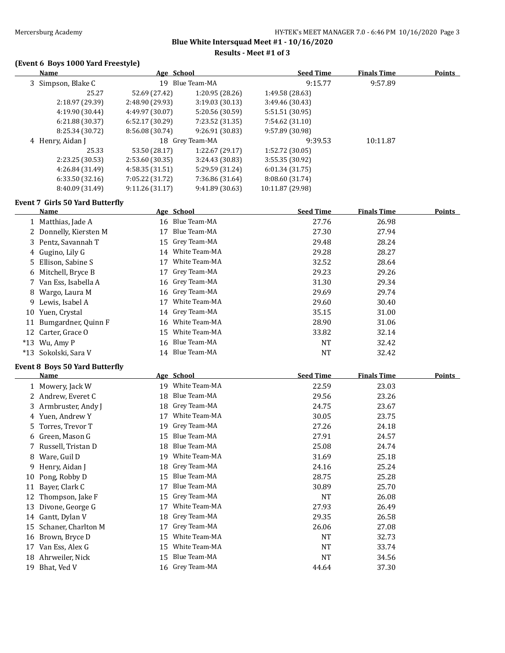**Results - Meet #1 of 3**

### **(Event 6 Boys 1000 Yard Freestyle)**

|    | <b>Name</b>                                   | Age School      |                  | <b>Seed Time</b> | <b>Finals Time</b> | <b>Points</b> |
|----|-----------------------------------------------|-----------------|------------------|------------------|--------------------|---------------|
|    | 3 Simpson, Blake C                            |                 | 19 Blue Team-MA  | 9:15.77          | 9:57.89            |               |
|    | 25.27                                         | 52.69 (27.42)   | 1:20.95 (28.26)  | 1:49.58 (28.63)  |                    |               |
|    | 2:18.97 (29.39)                               | 2:48.90 (29.93) | 3:19.03 (30.13)  | 3:49.46 (30.43)  |                    |               |
|    | 4:19.90 (30.44)                               | 4:49.97 (30.07) | 5:20.56 (30.59)  | 5:51.51 (30.95)  |                    |               |
|    | 6:21.88 (30.37)                               | 6:52.17 (30.29) | 7:23.52 (31.35)  | 7:54.62 (31.10)  |                    |               |
|    | 8:25.34 (30.72)                               | 8:56.08 (30.74) | 9:26.91 (30.83)  | 9:57.89 (30.98)  |                    |               |
|    | 4 Henry, Aidan J                              |                 | 18 Grey Team-MA  | 9:39.53          | 10:11.87           |               |
|    | 25.33                                         | 53.50 (28.17)   | 1:22.67 (29.17)  | 1:52.72 (30.05)  |                    |               |
|    | 2:23.25 (30.53)                               | 2:53.60 (30.35) | 3:24.43 (30.83)  | 3:55.35 (30.92)  |                    |               |
|    | 4:26.84 (31.49)                               | 4:58.35 (31.51) | 5:29.59 (31.24)  | 6:01.34(31.75)   |                    |               |
|    | 6:33.50(32.16)                                | 7:05.22 (31.72) | 7:36.86 (31.64)  | 8:08.60 (31.74)  |                    |               |
|    | 8:40.09 (31.49)                               | 9:11.26(31.17)  | 9:41.89 (30.63)  | 10:11.87 (29.98) |                    |               |
|    | <b>Event 7 Girls 50 Yard Butterfly</b>        |                 |                  |                  |                    |               |
|    | Name                                          | Age School      |                  | <b>Seed Time</b> | <b>Finals Time</b> | <b>Points</b> |
|    | 1 Matthias, Jade A                            |                 | 16 Blue Team-MA  | 27.76            | 26.98              |               |
|    | 2 Donnelly, Kiersten M                        | 17              | Blue Team-MA     | 27.30            | 27.94              |               |
|    | 3 Pentz, Savannah T                           | 15              | Grey Team-MA     | 29.48            | 28.24              |               |
|    | 4 Gugino, Lily G                              | 14              | White Team-MA    | 29.28            | 28.27              |               |
| 5  | Ellison, Sabine S                             | 17              | White Team-MA    | 32.52            | 28.64              |               |
|    | 6 Mitchell, Bryce B                           | 17              | Grey Team-MA     | 29.23            | 29.26              |               |
|    | 7 Van Ess, Isabella A                         | 16              | Grey Team-MA     | 31.30            | 29.34              |               |
| 8  | Wargo, Laura M                                | 16              | Grey Team-MA     | 29.69            | 29.74              |               |
| 9  | Lewis, Isabel A                               | 17              | White Team-MA    | 29.60            | 30.40              |               |
|    | 10 Yuen, Crystal                              | 14              | Grey Team-MA     | 35.15            | 31.00              |               |
|    | 11 Bumgardner, Quinn F                        | 16              | White Team-MA    | 28.90            | 31.06              |               |
|    | 12 Carter, Grace O                            | 15              | White Team-MA    | 33.82            | 32.14              |               |
|    | $*13$ Wu, Amy P                               | 16              | Blue Team-MA     | <b>NT</b>        | 32.42              |               |
|    | *13 Sokolski, Sara V                          |                 | 14 Blue Team-MA  | <b>NT</b>        | 32.42              |               |
|    |                                               |                 |                  |                  |                    |               |
|    | <b>Event 8 Boys 50 Yard Butterfly</b><br>Name | Age School      |                  | <b>Seed Time</b> | <b>Finals Time</b> | <b>Points</b> |
|    |                                               |                 | 19 White Team-MA |                  |                    |               |
|    | 1 Mowery, Jack W                              |                 | Blue Team-MA     | 22.59            | 23.03              |               |
|    | 2 Andrew, Everet C                            | 18              |                  | 29.56            | 23.26              |               |
|    | 3 Armbruster, Andy J                          | 18              | Grey Team-MA     | 24.75            | 23.67              |               |
|    | 4 Yuen, Andrew Y                              | 17              | White Team-MA    | 30.05            | 23.75              |               |
|    | 5 Torres, Trevor T                            | 19              | Grey Team-MA     | 27.26            | 24.18              |               |
| b  | Green, Mason G                                | 15              | Blue Team-MA     | 27.91            | 24.57              |               |
| 7  | Russell, Tristan D                            | 18              | Blue Team-MA     | 25.08            | 24.74              |               |
| 8  | Ware, Guil D                                  | 19              | White Team-MA    | 31.69            | 25.18              |               |
| 9  | Henry, Aidan J                                | 18              | Grey Team-MA     | 24.16            | 25.24              |               |
| 10 | Pong, Robby D                                 | 15              | Blue Team-MA     | 28.75            | 25.28              |               |
| 11 | Bayer, Clark C                                | 17              | Blue Team-MA     | 30.89            | 25.70              |               |
| 12 | Thompson, Jake F                              | 15              | Grey Team-MA     | <b>NT</b>        | 26.08              |               |
| 13 | Divone, George G                              | 17              | White Team-MA    | 27.93            | 26.49              |               |
|    | 14 Gantt, Dylan V                             | 18              | Grey Team-MA     | 29.35            | 26.58              |               |
| 15 | Schaner, Charlton M                           | 17              | Grey Team-MA     | 26.06            | 27.08              |               |
|    | 16 Brown, Bryce D                             | 15              | White Team-MA    | NT               | 32.73              |               |
| 17 | Van Ess, Alex G                               | 15              | White Team-MA    | NT               | 33.74              |               |
|    |                                               |                 |                  |                  |                    |               |
| 18 | Ahrweiler, Nick                               | 15              | Blue Team-MA     | <b>NT</b>        | 34.56              |               |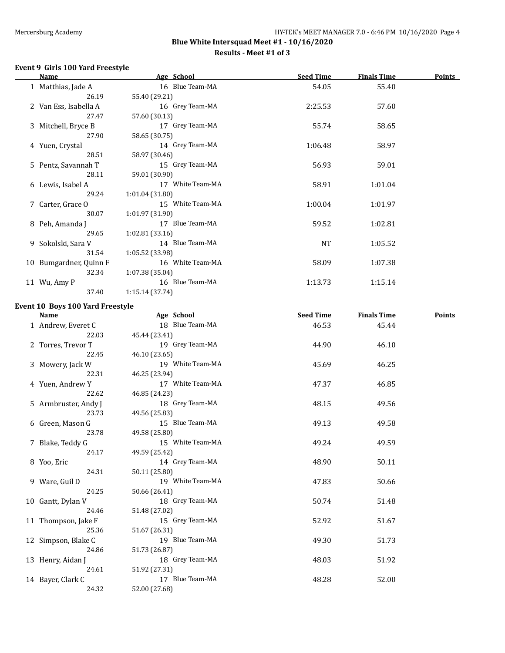#### **Results - Meet #1 of 3**

#### **Event 9 Girls 100 Yard Freestyle**

| Name                   | Age School       | <b>Seed Time</b> | <b>Finals Time</b> | <b>Points</b> |
|------------------------|------------------|------------------|--------------------|---------------|
| 1 Matthias, Jade A     | 16 Blue Team-MA  | 54.05            | 55.40              |               |
| 26.19                  | 55.40 (29.21)    |                  |                    |               |
| 2 Van Ess, Isabella A  | 16 Grey Team-MA  | 2:25.53          | 57.60              |               |
| 27.47                  | 57.60 (30.13)    |                  |                    |               |
| 3 Mitchell, Bryce B    | 17 Grey Team-MA  | 55.74            | 58.65              |               |
| 27.90                  | 58.65 (30.75)    |                  |                    |               |
| 4 Yuen, Crystal        | 14 Grey Team-MA  | 1:06.48          | 58.97              |               |
| 28.51                  | 58.97 (30.46)    |                  |                    |               |
| 5 Pentz, Savannah T    | 15 Grey Team-MA  | 56.93            | 59.01              |               |
| 28.11                  | 59.01 (30.90)    |                  |                    |               |
| 6 Lewis, Isabel A      | 17 White Team-MA | 58.91            | 1:01.04            |               |
| 29.24                  | 1:01.04(31.80)   |                  |                    |               |
| 7 Carter, Grace O      | 15 White Team-MA | 1:00.04          | 1:01.97            |               |
| 30.07                  | 1:01.97(31.90)   |                  |                    |               |
| 8 Peh, Amanda J        | 17 Blue Team-MA  | 59.52            | 1:02.81            |               |
| 29.65                  | 1:02.81(33.16)   |                  |                    |               |
| 9 Sokolski, Sara V     | 14 Blue Team-MA  | NT               | 1:05.52            |               |
| 31.54                  | 1:05.52(33.98)   |                  |                    |               |
| 10 Bumgardner, Quinn F | 16 White Team-MA | 58.09            | 1:07.38            |               |
| 32.34                  | 1:07.38(35.04)   |                  |                    |               |
| 11 Wu, Amy P           | 16 Blue Team-MA  | 1:13.73          | 1:15.14            |               |
| 37.40                  | 1:15.14(37.74)   |                  |                    |               |
|                        |                  |                  |                    |               |

#### **Event 10 Boys 100 Yard Freestyle**

| Name                 | Age School       | <b>Seed Time</b> | <b>Finals Time</b> | <b>Points</b> |
|----------------------|------------------|------------------|--------------------|---------------|
| 1 Andrew, Everet C   | 18 Blue Team-MA  | 46.53            | 45.44              |               |
| 22.03                | 45.44 (23.41)    |                  |                    |               |
| 2 Torres, Trevor T   | 19 Grey Team-MA  | 44.90            | 46.10              |               |
| 22.45                | 46.10 (23.65)    |                  |                    |               |
| 3 Mowery, Jack W     | 19 White Team-MA | 45.69            | 46.25              |               |
| 22.31                | 46.25 (23.94)    |                  |                    |               |
| 4 Yuen, Andrew Y     | 17 White Team-MA | 47.37            | 46.85              |               |
| 22.62                | 46.85 (24.23)    |                  |                    |               |
| 5 Armbruster, Andy J | 18 Grey Team-MA  | 48.15            | 49.56              |               |
| 23.73                | 49.56 (25.83)    |                  |                    |               |
| 6 Green, Mason G     | 15 Blue Team-MA  | 49.13            | 49.58              |               |
| 23.78                | 49.58 (25.80)    |                  |                    |               |
| 7 Blake, Teddy G     | 15 White Team-MA | 49.24            | 49.59              |               |
| 24.17                | 49.59 (25.42)    |                  |                    |               |
| 8 Yoo, Eric          | 14 Grey Team-MA  | 48.90            | 50.11              |               |
| 24.31                | 50.11 (25.80)    |                  |                    |               |
| 9 Ware, Guil D       | 19 White Team-MA | 47.83            | 50.66              |               |
| 24.25                | 50.66 (26.41)    |                  |                    |               |
| 10 Gantt, Dylan V    | 18 Grey Team-MA  | 50.74            | 51.48              |               |
| 24.46                | 51.48 (27.02)    |                  |                    |               |
| 11 Thompson, Jake F  | 15 Grey Team-MA  | 52.92            | 51.67              |               |
| 25.36                | 51.67 (26.31)    |                  |                    |               |
| 12 Simpson, Blake C  | 19 Blue Team-MA  | 49.30            | 51.73              |               |
| 24.86                | 51.73 (26.87)    |                  |                    |               |
| 13 Henry, Aidan J    | 18 Grey Team-MA  | 48.03            | 51.92              |               |
| 24.61                | 51.92 (27.31)    |                  |                    |               |
| 14 Bayer, Clark C    | 17 Blue Team-MA  | 48.28            | 52.00              |               |
| 24.32                | 52.00 (27.68)    |                  |                    |               |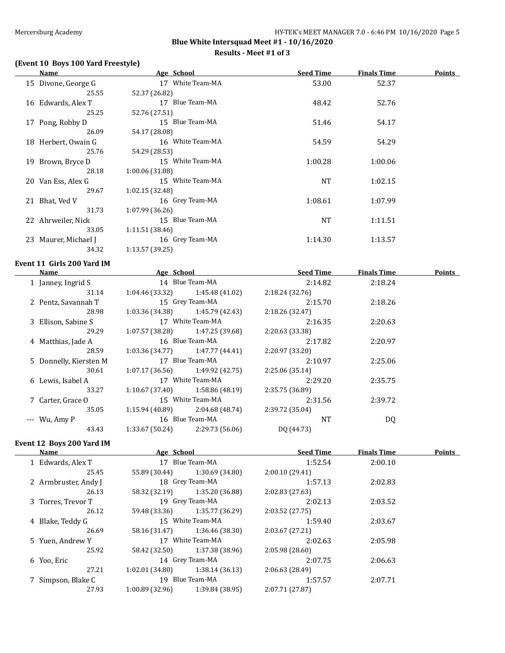#### **Results - Meet #1 of 3**

# **(Event 10 Boys 100 Yard Freestyle)**

|     | Name                | Age School       | <b>Seed Time</b> | <b>Finals Time</b> | <b>Points</b> |
|-----|---------------------|------------------|------------------|--------------------|---------------|
|     | 15 Divone, George G | 17 White Team-MA | 53.00            | 52.37              |               |
|     | 25.55               | 52.37 (26.82)    |                  |                    |               |
|     | 16 Edwards, Alex T  | 17 Blue Team-MA  | 48.42            | 52.76              |               |
|     | 25.25               | 52.76 (27.51)    |                  |                    |               |
|     | 17 Pong, Robby D    | 15 Blue Team-MA  | 51.46            | 54.17              |               |
|     | 26.09               | 54.17 (28.08)    |                  |                    |               |
|     | 18 Herbert, Owain G | 16 White Team-MA | 54.59            | 54.29              |               |
|     | 25.76               | 54.29 (28.53)    |                  |                    |               |
| 19. | Brown, Bryce D      | 15 White Team-MA | 1:00.28          | 1:00.06            |               |
|     | 28.18               | 1:00.06(31.88)   |                  |                    |               |
|     | 20 Van Ess, Alex G  | 15 White Team-MA | NT               | 1:02.15            |               |
|     | 29.67               | 1:02.15(32.48)   |                  |                    |               |
|     | 21 Bhat, Ved V      | 16 Grey Team-MA  | 1:08.61          | 1:07.99            |               |
|     | 31.73               | 1:07.99(36.26)   |                  |                    |               |
|     | 22 Ahrweiler, Nick  | 15 Blue Team-MA  | NT               | 1:11.51            |               |
|     | 33.05               | 1:11.51(38.46)   |                  |                    |               |
| 23. | Maurer, Michael J   | 16 Grey Team-MA  | 1:14.30          | 1:13.57            |               |
|     | 34.32               | 1:13.57 (39.25)  |                  |                    |               |

#### **Event 11 Girls 200 Yard IM**

| <b>Name</b>            | Age School      |                  | <b>Seed Time</b> | <b>Finals Time</b> | <b>Points</b> |
|------------------------|-----------------|------------------|------------------|--------------------|---------------|
| 1 Janney, Ingrid S     |                 | 14 Blue Team-MA  | 2:14.82          | 2:18.24            |               |
| 31.14                  | 1:04.46 (33.32) | 1:45.48 (41.02)  | 2:18.24(32.76)   |                    |               |
| 2 Pentz, Savannah T    |                 | 15 Grey Team-MA  | 2:15.70          | 2:18.26            |               |
| 28.98                  | 1:03.36 (34.38) | 1:45.79 (42.43)  | 2:18.26 (32.47)  |                    |               |
| 3 Ellison, Sabine S    |                 | 17 White Team-MA | 2:16.35          | 2:20.63            |               |
| 29.29                  | 1:07.57 (38.28) | 1:47.25 (39.68)  | 2:20.63 (33.38)  |                    |               |
| 4 Matthias, Jade A     |                 | 16 Blue Team-MA  | 2:17.82          | 2:20.97            |               |
| 28.59                  | 1:03.36 (34.77) | 1:47.77 (44.41)  | 2:20.97 (33.20)  |                    |               |
| 5 Donnelly, Kiersten M |                 | 17 Blue Team-MA  | 2:10.97          | 2:25.06            |               |
| 30.61                  | 1:07.17(36.56)  | 1:49.92 (42.75)  | 2:25.06 (35.14)  |                    |               |
| 6 Lewis, Isabel A      |                 | 17 White Team-MA | 2:29.20          | 2:35.75            |               |
| 33.27                  | 1:10.67 (37.40) | 1:58.86 (48.19)  | 2:35.75 (36.89)  |                    |               |
| 7 Carter, Grace O      |                 | 15 White Team-MA | 2:31.56          | 2:39.72            |               |
| 35.05                  | 1:15.94(40.89)  | 2:04.68 (48.74)  | 2:39.72 (35.04)  |                    |               |
| $--$ Wu, Amy P         |                 | 16 Blue Team-MA  | <b>NT</b>        | DQ                 |               |
| 43.43                  | 1:33.67(50.24)  | 2:29.73 (56.06)  | DO (44.73)       |                    |               |
|                        |                 |                  |                  |                    |               |

## **Event 12 Boys 200 Yard IM**

| Name                 |       | Age School      |                  | <b>Seed Time</b> | <b>Finals Time</b> | <b>Points</b> |
|----------------------|-------|-----------------|------------------|------------------|--------------------|---------------|
| 1 Edwards, Alex T    |       |                 | 17 Blue Team-MA  | 1:52.54          | 2:00.10            |               |
|                      | 25.45 | 55.89 (30.44)   | 1:30.69 (34.80)  | 2:00.10(29.41)   |                    |               |
| 2 Armbruster, Andy J |       |                 | 18 Grey Team-MA  | 1:57.13          | 2:02.83            |               |
|                      | 26.13 | 58.32 (32.19)   | 1:35.20 (36.88)  | 2:02.83(27.63)   |                    |               |
| 3 Torres, Trevor T   |       |                 | 19 Grey Team-MA  | 2:02.13          | 2:03.52            |               |
|                      | 26.12 | 59.48 (33.36)   | 1:35.77 (36.29)  | 2:03.52(27.75)   |                    |               |
| 4 Blake, Teddy G     |       |                 | 15 White Team-MA | 1:59.40          | 2:03.67            |               |
|                      | 26.69 | 58.16 (31.47)   | 1:36.46 (38.30)  | 2:03.67(27.21)   |                    |               |
| 5 Yuen, Andrew Y     |       |                 | 17 White Team-MA | 2:02.63          | 2:05.98            |               |
|                      | 25.92 | 58.42 (32.50)   | 1:37.38 (38.96)  | 2:05.98(28.60)   |                    |               |
| 6 Yoo, Eric          |       |                 | 14 Grey Team-MA  | 2:07.75          | 2:06.63            |               |
|                      | 27.21 | 1:02.01 (34.80) | 1:38.14(36.13)   | 2:06.63(28.49)   |                    |               |
| 7 Simpson, Blake C   |       |                 | 19 Blue Team-MA  | 1:57.57          | 2:07.71            |               |
|                      | 27.93 | 1:00.89(32.96)  | 1:39.84 (38.95)  | 2:07.71 (27.87)  |                    |               |